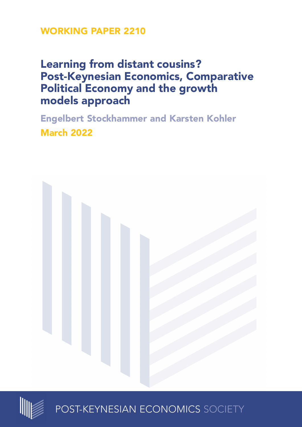# **WORKING PAPER 2210**

# **Learning from distant cousins? Post-Keynesian Economics, Comparative Political Economy and the growth models approach**

**Engelbert Stockhammer and Karsten Kohler March 2022**





POST-KEYNESIAN ECONOMICS SOCIETY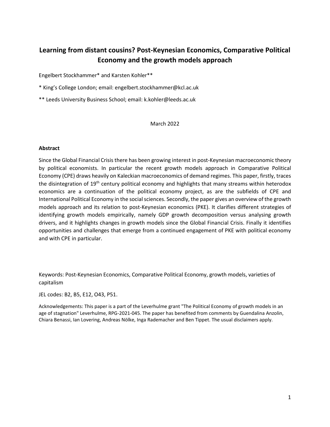## **Learning from distant cousins? Post-Keynesian Economics, Comparative Political Economy and the growth models approach**

Engelbert Stockhammer\* and Karsten Kohler\*\*

- \* King's College London; email: engelbert.stockhammer@kcl.ac.uk
- \*\* Leeds University Business School; email: k.kohler@leeds.ac.uk

March 2022

#### **Abstract**

Since the Global Financial Crisis there has been growing interest in post-Keynesian macroeconomic theory by political economists. In particular the recent growth models approach in Comparative Political Economy (CPE) draws heavily on Kaleckian macroeconomics of demand regimes. This paper, firstly, traces the disintegration of 19<sup>th</sup> century political economy and highlights that many streams within heterodox economics are a continuation of the political economy project, as are the subfields of CPE and International Political Economy in the social sciences. Secondly, the paper gives an overview of the growth models approach and its relation to post-Keynesian economics (PKE). It clarifies different strategies of identifying growth models empirically, namely GDP growth decomposition versus analysing growth drivers, and it highlights changes in growth models since the Global Financial Crisis. Finally it identifies opportunities and challenges that emerge from a continued engagement of PKE with political economy and with CPE in particular.

Keywords: Post-Keynesian Economics, Comparative Political Economy, growth models, varieties of capitalism

JEL codes: B2, B5, E12, O43, P51.

Acknowledgements: This paper is a part of the Leverhulme grant "The Political Economy of growth models in an age of stagnation" Leverhulme, RPG-2021-045. The paper has benefited from comments by Guendalina Anzolin, Chiara Benassi, Ian Lovering, Andreas Nölke, Inga Rademacher and Ben Tippet. The usual disclaimers apply.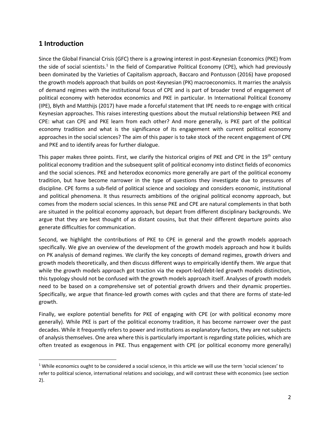### **1 Introduction**

Since the Global Financial Crisis (GFC) there is a growing interest in post-Keynesian Economics (PKE) from the side of social scientists.<sup>1</sup> In the field of Comparative Political Economy (CPE), which had previously been dominated by the Varieties of Capitalism approach, Baccaro and Pontusson (2016) have proposed the growth models approach that builds on post-Keynesian (PK) macroeconomics. It marries the analysis of demand regimes with the institutional focus of CPE and is part of broader trend of engagement of political economy with heterodox economics and PKE in particular. In International Political Economy (IPE), Blyth and Matthijs (2017) have made a forceful statement that IPE needs to re-engage with critical Keynesian approaches. This raises interesting questions about the mutual relationship between PKE and CPE: what can CPE and PKE learn from each other? And more generally, is PKE part of the political economy tradition and what is the significance of its engagement with current political economy approaches in the social sciences? The aim of this paper is to take stock of the recent engagement of CPE and PKE and to identify areas for further dialogue.

This paper makes three points. First, we clarify the historical origins of PKE and CPE in the 19<sup>th</sup> century political economy tradition and the subsequent split of political economy into distinct fields of economics and the social sciences. PKE and heterodox economics more generally are part of the political economy tradition, but have become narrower in the type of questions they investigate due to pressures of discipline. CPE forms a sub-field of political science and sociology and considers economic, institutional and political phenomena. It thus resurrects ambitions of the original political economy approach, but comes from the modern social sciences. In this sense PKE and CPE are natural complements in that both are situated in the political economy approach, but depart from different disciplinary backgrounds. We argue that they are best thought of as distant cousins, but that their different departure points also generate difficulties for communication.

Second, we highlight the contributions of PKE to CPE in general and the growth models approach specifically. We give an overview of the development of the growth models approach and how it builds on PK analysis of demand regimes. We clarify the key concepts of demand regimes, growth drivers and growth models theoretically, and then discuss different ways to empirically identify them. We argue that while the growth models approach got traction via the export-led/debt-led growth models distinction, this typology should not be confused with the growth models approach itself. Analyses of growth models need to be based on a comprehensive set of potential growth drivers and their dynamic properties. Specifically, we argue that finance-led growth comes with cycles and that there are forms of state-led growth.

Finally, we explore potential benefits for PKE of engaging with CPE (or with political economy more generally). While PKE is part of the political economy tradition, it has become narrower over the past decades. While it frequently refers to power and institutions as explanatory factors, they are not subjects of analysis themselves. One area where this is particularly important is regarding state policies, which are often treated as exogenous in PKE. Thus engagement with CPE (or political economy more generally)

 $1$  While economics ought to be considered a social science, in this article we will use the term 'social sciences' to refer to political science, international relations and sociology, and will contrast these with economics (see section 2).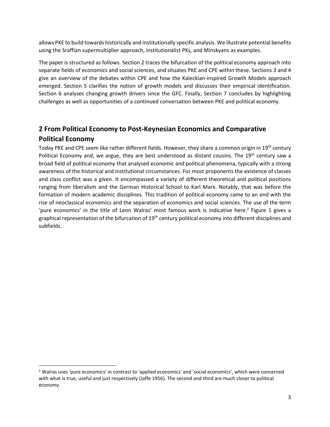allows PKE to build towards historically and institutionally specific analysis. We illustrate potential benefits using the Sraffian supermultiplier approach, institutionalist PKs, and Minskyans as examples.

The paper is structured as follows. Section 2 traces the bifurcation of the political economy approach into separate fields of economics and social sciences, and situates PKE and CPE within these. Sections 3 and 4 give an overview of the debates within CPE and how the Kaleckian-inspired Growth Models approach emerged. Section 5 clarifies the notion of growth models and discusses their empirical identification. Section 6 analyses changing growth drivers since the GFC. Finally, Section 7 concludes by highlighting challenges as well as opportunities of a continued conversation between PKE and political economy.

## **2 From Political Economy to Post-Keynesian Economics and Comparative Political Economy**

Today PKE and CPE seem like rather different fields. However, they share a common origin in 19<sup>th</sup> century Political Economy and, we argue, they are best understood as distant cousins. The 19<sup>th</sup> century saw a broad field of political economy that analysed economic and political phenomena, typically with a strong awareness of the historical and institutional circumstances. For most proponents the existence of classes and class conflict was a given. It encompassed a variety of different theoretical and political positions ranging from liberalism and the German Historical School to Karl Marx. Notably, that was before the formation of modern academic disciplines. This tradition of political economy came to an end with the rise of neoclassical economics and the separation of economics and social sciences. The use of the term 'pure economics' in the title of Leon Walras' most famous work is indicative here.<sup>2</sup> Figure 1 gives a graphical representation of the bifurcation of  $19<sup>th</sup>$  century political economy into different disciplines and subfields.

<sup>&</sup>lt;sup>2</sup> Walras uses 'pure economics' in contrast to 'applied economics' and 'social economics', which were concerned with what is true, useful and just respectively (Jaffe 1956). The second and third are much closer to political economy.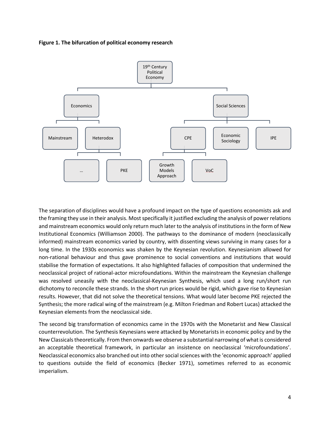



The separation of disciplines would have a profound impact on the type of questions economists ask and the framing they use in their analysis. Most specifically it justified excluding the analysis of power relations and mainstream economics would only return much later to the analysis of institutions in the form of New Institutional Economics (Williamson 2000). The pathways to the dominance of modern (neoclassically informed) mainstream economics varied by country, with dissenting views surviving in many cases for a long time. In the 1930s economics was shaken by the Keynesian revolution. Keynesianism allowed for non-rational behaviour and thus gave prominence to social conventions and institutions that would stabilise the formation of expectations. It also highlighted fallacies of composition that undermined the neoclassical project of rational-actor microfoundations. Within the mainstream the Keynesian challenge was resolved uneasily with the neoclassical-Keynesian Synthesis, which used a long run/short run dichotomy to reconcile these strands. In the short run prices would be rigid, which gave rise to Keynesian results. However, that did not solve the theoretical tensions. What would later become PKE rejected the Synthesis; the more radical wing of the mainstream (e.g. Milton Friedman and Robert Lucas) attacked the Keynesian elements from the neoclassical side.

The second big transformation of economics came in the 1970s with the Monetarist and New Classical counterrevolution. The Synthesis Keynesians were attacked by Monetarists in economic policy and by the New Classicals theoretically. From then onwards we observe a substantial narrowing of what is considered an acceptable theoretical framework, in particular an insistence on neoclassical 'microfoundations'. Neoclassical economics also branched out into other social sciences with the 'economic approach' applied to questions outside the field of economics (Becker 1971), sometimes referred to as economic imperialism.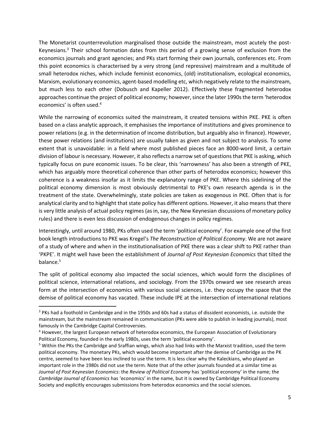The Monetarist counterrevolution marginalised those outside the mainstream, most acutely the post-Keynesians. $3$  Their school formation dates from this period of a growing sense of exclusion from the economics journals and grant agencies; and PKs start forming their own journals, conferences etc. From this point economics is characterised by a very strong (and repressive) mainstream and a multitude of small heterodox niches, which include feminist economics, (old) institutionalism, ecological economics, Marxism, evolutionary economics, agent-based modelling etc, which negatively relate to the mainstream, but much less to each other (Dobusch and Kapeller 2012). Effectively these fragmented heterodox approaches continue the project of political economy; however, since the later 1990s the term 'heterodox economics' is often used. 4

While the narrowing of economics suited the mainstream, it created tensions within PKE. PKE is often based on a class analytic approach, it emphasises the importance of institutions and gives prominence to power relations (e.g. in the determination of income distribution, but arguably also in finance). However, these power relations (and institutions) are usually taken as given and not subject to analysis. To some extent that is unavoidable: in a field where most published pieces face an 8000-word limit, a certain division of labour is necessary. However, it also reflects a narrow set of questionsthat PKE is asking, which typically focus on pure economic issues. To be clear, this 'narrowness' has also been a strength of PKE, which has arguably more theoretical coherence than other parts of heterodox economics; however this coherence is a weakness insofar as it limits the explanatory range of PKE. Where this sidelining of the political economy dimension is most obviously detrimental to PKE's own research agenda is in the treatment of the state. Overwhelmingly, state policies are taken as exogenous in PKE. Often that is for analytical clarity and to highlight that state policy has different options. However, it also means that there is very little analysis of actual policy regimes (as in, say, the New Keynesian discussions of monetary policy rules) and there is even less discussion of endogenous changes in policy regimes.

Interestingly, until around 1980, PKs often used the term 'political economy'. For example one of the first book length introductions to PKE was Kregel's *The Reconstruction of Political Economy*. We are not aware of a study of where and when in the institutionalisation of PKE there was a clear shift to PKE rather than 'PKPE'. It might well have been the establishment of *Journal of Post Keynesian Economics* that tilted the balance.<sup>5</sup>

The split of political economy also impacted the social sciences, which would form the disciplines of political science, international relations, and sociology. From the 1970s onward we see research areas form at the intersection of economics with various social sciences, i.e. they occupy the space that the demise of political economy has vacated. These include IPE at the intersection of international relations

<sup>&</sup>lt;sup>3</sup> PKs had a foothold in Cambridge and in the 1950s and 60s had a status of dissident economists, i.e. outside the mainstream, but the mainstream remained in communication (PKs were able to publish in leading journals), most famously in the Cambridge Capital Controversies.

<sup>4</sup> However, the largest European network of heterodox economics, the European Association of Evolutionary Political Economy, founded in the early 1980s, uses the term 'political economy'.

<sup>&</sup>lt;sup>5</sup> Within the PKs the Cambridge and Sraffian wings, which also had links with the Marxist tradition, used the term political economy. The monetary PKs, which would become important after the demise of Cambridge as the PK centre, seemed to have been less inclined to use the term. It is less clear why the Kaleckians, who played an important role in the 1980s did not use the term. Note that of the other journals founded at a similar time as *Journal of Post Keynesian Economics*: the *Review of Political Economy* has 'political economy' in the name; the *Cambridge Journal of Economics* has 'economics' in the name, but it is owned by Cambridge Political Economy Society and explicitly encourages submissions from heterodox economics and the social sciences.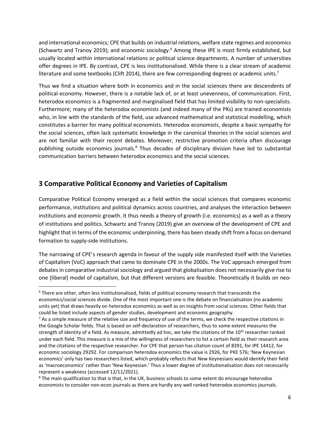and international economics; CPE that builds on industrial relations, welfare state regimes and economics (Schwartz and Tranoy 2019); and economic sociology.<sup>6</sup> Among these IPE is most firmly established, but usually located within international relations or political science departments. A number of universities offer degrees in IPE. By contrast, CPE is less institutionalised. While there is a clear stream of academic literature and some textbooks (Clift 2014), there are few corresponding degrees or academic units.<sup>7</sup>

Thus we find a situation where both in economics and in the social sciences there are descendents of political economy. However, there is a notable lack of, or at least unevenness, of communication. First, heterodox economics is a fragmented and marginalised field that has limited visibility to non-specialists. Furthermore; many of the heterodox economists (and indeed many of the PKs) are trained economists who, in line with the standards of the field, use advanced mathematical and statistical modelling, which constitutes a barrier for many political economists. Heterodox economists, despite a basic sympathy for the social sciences, often lack systematic knowledge in the canonical theories in the social sciences and are not familiar with their recent debates. Moreover, restrictive promotion criteria often discourage publishing outside economics journals.<sup>8</sup> Thus decades of disciplinary division have led to substantial communication barriers between heterodox economics and the social sciences.

### **3 Comparative Political Economy and Varieties of Capitalism**

Comparative Political Economy emerged as a field within the social sciences that compares economic performance, institutions and political dynamics across countries, and analyses the interaction between institutions and economic growth. It thus needs a theory of growth (i.e. economics) as a well as a theory of institutions and politics. Schwartz and Tranoy (2019) give an overview of the development of CPE and highlight that in terms of the economic underpinning, there has been steady shift from a focus on demand formation to supply-side institutions.

The narrowing of CPE's research agenda in favour of the supply side manifested itself with the Varieties of Capitalism (VoC) approach that came to dominate CPE in the 2000s. The VoC approach emerged from debates in comparative industrial sociology and argued that globalisation does not necessarily give rise to one (liberal) model of capitalism, but that different versions are feasible. Theoretically it builds on neo-

<sup>&</sup>lt;sup>6</sup> There are other, often less institutionalised, fields of political economy research that transcends the economics/social sciences divide. One of the most important one is the debate on financialisation (no academic units yet) that draws heavily on heterodox economics as well as on insights from social sciences. Other fields that could be listed include aspects of gender studies, development and economic geography.

 $<sup>7</sup>$  As a simple measure of the relative size and frequency of use of the terms, we check the respective citations in</sup> the Google Scholar fields. That is based on self-declaration of researchers, thus to some extent measures the strength of identity of a field. As measure, admittedly ad hoc, we take the citations of the  $10^{th}$  researcher ranked under each field. This measure is a mix of the willingness of researchers to list a certain field as their research area and the citations of the respective researcher. For CPE that person has citation count of 8391, for IPE 14412, for economic sociology 29292. For comparison heterodox economics the value is 2926, for PKE 576; 'New Keynesian economics' only has two researchers listed, which probably reflects that New Keynesians would identify their field as 'macroeconomics' rather than 'New Keynesian.' Thus a lower degree of institutionalisation does not necessarily represent a weakness (accessed 12/11/2021).

<sup>&</sup>lt;sup>8</sup> The main qualification to that is that, in the UK, business schools to some extent do encourage heterodox economists to consider non-econ journals as there are hardly any well ranked heterodox economics journals.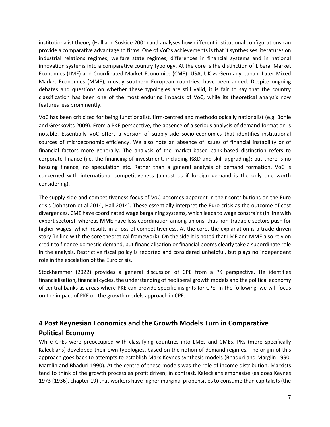institutionalist theory (Hall and Soskice 2001) and analyses how different institutional configurations can provide a comparative advantage to firms. One of VoC's achievements is that it synthesises literatures on industrial relations regimes, welfare state regimes, differences in financial systems and in national innovation systems into a comparative country typology. At the core is the distinction of Liberal Market Economies (LME) and Coordinated Market Economies (CME): USA, UK vs Germany, Japan. Later Mixed Market Economies (MME), mostly southern European countries, have been added. Despite ongoing debates and questions on whether these typologies are still valid, it is fair to say that the country classification has been one of the most enduring impacts of VoC, while its theoretical analysis now features less prominently.

VoC has been criticized for being functionalist, firm-centred and methodologically nationalist (e.g. Bohle and Greskovits 2009). From a PKE perspective, the absence of a serious analysis of demand formation is notable. Essentially VoC offers a version of supply-side socio-economics that identifies institutional sources of microeconomic efficiency. We also note an absence of issues of financial instability or of financial factors more generally. The analysis of the market-based bank-based distinction refers to corporate finance (i.e. the financing of investment, including R&D and skill upgrading); but there is no housing finance, no speculation etc. Rather than a general analysis of demand formation, VoC is concerned with international competitiveness (almost as if foreign demand is the only one worth considering).

The supply-side and competitiveness focus of VoC becomes apparent in their contributions on the Euro crisis (Johnston et al 2014, Hall 2014). These essentially interpret the Euro crisis as the outcome of cost divergences. CME have coordinated wage bargaining systems, which leads to wage constraint (in line with export sectors), whereas MME have less coordination among unions, thus non-tradable sectors push for higher wages, which results in a loss of competitiveness. At the core, the explanation is a trade-driven story (in line with the core theoretical framework). On the side it is noted that LME and MME also rely on credit to finance domestic demand, but financialisation or financial booms clearly take a subordinate role in the analysis. Restrictive fiscal policy is reported and considered unhelpful, but plays no independent role in the escalation of the Euro crisis.

Stockhammer (2022) provides a general discussion of CPE from a PK perspective. He identifies financialisation, financial cycles, the understanding of neoliberal growth models and the political economy of central banks as areas where PKE can provide specific insights for CPE. In the following, we will focus on the impact of PKE on the growth models approach in CPE.

# **4 Post Keynesian Economics and the Growth Models Turn in Comparative Political Economy**

While CPEs were preoccupied with classifying countries into LMEs and CMEs, PKs (more specifically Kaleckians) developed their own typologies, based on the notion of demand regimes. The origin of this approach goes back to attempts to establish Marx-Keynes synthesis models (Bhaduri and Marglin 1990, Marglin and Bhaduri 1990). At the centre of these models was the role of income distribution. Marxists tend to think of the growth process as profit driven; in contrast, Kaleckians emphasise (as does Keynes 1973 [1936], chapter 19) that workers have higher marginal propensities to consume than capitalists (the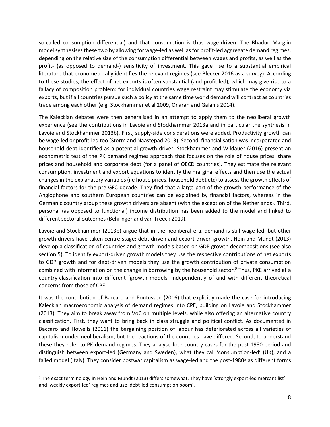so-called consumption differential) and that consumption is thus wage-driven. The Bhaduri-Marglin model synthesises these two by allowing for wage-led as well as for profit-led aggregate demand regimes, depending on the relative size of the consumption differential between wages and profits, as well as the profit- (as opposed to demand-) sensitivity of investment. This gave rise to a substantial empirical literature that econometrically identifies the relevant regimes (see Blecker 2016 as a survey). According to these studies, the effect of net exports is often substantial (and profit-led), which may give rise to a fallacy of composition problem: for individual countries wage restraint may stimulate the economy via exports, but if all countries pursue such a policy at the same time world demand will contract as countries trade among each other (e.g. Stockhammer et al 2009, Onaran and Galanis 2014).

The Kaleckian debates were then generalised in an attempt to apply them to the neoliberal growth experience (see the contributions in Lavoie and Stockhammer 2013a and in particular the synthesis in Lavoie and Stockhammer 2013b). First, supply-side considerations were added. Productivity growth can be wage-led or profit-led too (Storm and Naastepad 2013). Second, financialisation was incorporated and household debt identified as a potential growth driver. Stockhammer and Wildauer (2016) present an econometric test of the PK demand regimes approach that focuses on the role of house prices, share prices and household and corporate debt (for a panel of OECD countries). They estimate the relevant consumption, investment and export equations to identify the marginal effects and then use the actual changes in the explanatory variables (i.e house prices, household debt etc) to assess the growth effects of financial factors for the pre-GFC decade. They find that a large part of the growth performance of the Anglophone and southern European countries can be explained by financial factors, whereas in the Germanic country group these growth drivers are absent (with the exception of the Netherlands). Third, personal (as opposed to functional) income distribution has been added to the model and linked to different sectoral outcomes (Behringer and van Treeck 2019).

Lavoie and Stockhammer (2013b) argue that in the neoliberal era, demand is still wage-led, but other growth drivers have taken centre stage: debt-driven and export-driven growth. Hein and Mundt (2013) develop a classification of countries and growth models based on GDP growth decompositions (see also section 5). To identify export-driven growth models they use the respective contributions of net exports to GDP growth and for debt-driven models they use the growth contribution of private consumption combined with information on the change in borrowing by the household sector. $9$  Thus, PKE arrived at a country-classification into different 'growth models' independently of and with different theoretical concerns from those of CPE.

It was the contribution of Baccaro and Pontussen (2016) that explicitly made the case for introducing Kaleckian macroeconomic analysis of demand regimes into CPE, building on Lavoie and Stockhammer (2013). They aim to break away from VoC on multiple levels, while also offering an alternative country classification. First, they want to bring back in class struggle and political conflict. As documented in Baccaro and Howells (2011) the bargaining position of labour has deteriorated across all varieties of capitalism under neoliberalism; but the reactions of the countries have differed. Second, to understand these they refer to PK demand regimes. They analyse four country cases for the post-1980 period and distinguish between export-led (Germany and Sweden), what they call 'consumption-led' (UK), and a failed model (Italy). They consider postwar capitalism as wage-led and the post-1980s as different forms

<sup>9</sup> The exact terminology in Hein and Mundt (2013) differs somewhat. They have 'strongly export-led mercantilist' and 'weakly export-led' regimes and use 'debt-led consumption boom'.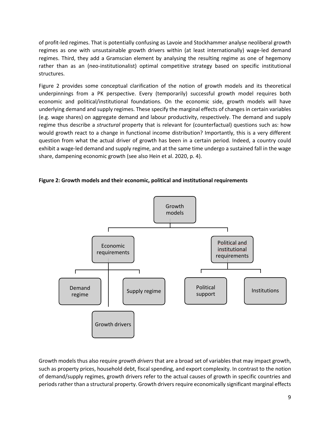of profit-led regimes. That is potentially confusing as Lavoie and Stockhammer analyse neoliberal growth regimes as one with unsustainable growth drivers within (at least internationally) wage-led demand regimes. Third, they add a Gramscian element by analysing the resulting regime as one of hegemony rather than as an (neo-institutionalist) optimal competitive strategy based on specific institutional structures.

Figure 2 provides some conceptual clarification of the notion of growth models and its theoretical underpinnings from a PK perspective. Every (temporarily) successful growth model requires both economic and political/institutional foundations. On the economic side, growth models will have underlying demand and supply regimes. These specify the marginal effects of changes in certain variables (e.g. wage shares) on aggregate demand and labour productivity, respectively. The demand and supply regime thus describe a *structural* property that is relevant for (counterfactual) questions such as: how would growth react to a change in functional income distribution? Importantly, this is a very different question from what the actual driver of growth has been in a certain period. Indeed, a country could exhibit a wage-led demand and supply regime, and at the same time undergo a sustained fall in the wage share, dampening economic growth (see also Hein et al. 2020, p. 4).





Growth models thus also require *growth drivers* that are a broad set of variables that may impact growth, such as property prices, household debt, fiscal spending, and export complexity. In contrast to the notion of demand/supply regimes, growth drivers refer to the actual causes of growth in specific countries and periods rather than a structural property. Growth drivers require economically significant marginal effects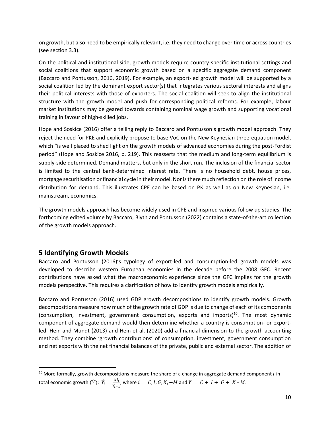on growth, but also need to be empirically relevant, i.e. they need to change over time or across countries (see section 3.3).

On the political and institutional side, growth models require country-specific institutional settings and social coalitions that support economic growth based on a specific aggregate demand component (Baccaro and Pontusson, 2016, 2019). For example, an export-led growth model will be supported by a social coalition led by the dominant export sector(s) that integrates various sectoral interests and aligns their political interests with those of exporters. The social coalition will seek to align the institutional structure with the growth model and push for corresponding political reforms. For example, labour market institutions may be geared towards containing nominal wage growth and supporting vocational training in favour of high-skilled jobs.

Hope and Soskice (2016) offer a telling reply to Baccaro and Pontusson's growth model approach. They reject the need for PKE and explicitly propose to base VoC on the New Keynesian three-equation model, which "is well placed to shed light on the growth models of advanced economies during the post-Fordist period" (Hope and Soskice 2016, p. 219). This reasserts that the medium and long-term equilibrium is supply-side determined. Demand matters, but only in the short run. The inclusion of the financial sector is limited to the central bank-determined interest rate. There is no household debt, house prices, mortgage securitisation or financial cycle in their model. Nor is there much reflection on the role of income distribution for demand. This illustrates CPE can be based on PK as well as on New Keynesian, i.e. mainstream, economics.

The growth models approach has become widely used in CPE and inspired various follow up studies. The forthcoming edited volume by Baccaro, Blyth and Pontusson (2022) contains a state-of-the-art collection of the growth models approach.

#### **5 Identifying Growth Models**

Baccaro and Pontusson (2016)'s typology of export-led and consumption-led growth models was developed to describe western European economies in the decade before the 2008 GFC. Recent contributions have asked what the macroeconomic experience since the GFC implies for the growth models perspective. This requires a clarification of how to identify growth models empirically.

Baccaro and Pontusson (2016) used GDP growth decompositions to identify growth models. Growth decompositions measure how much of the growth rate of GDP is due to change of each of its components (consumption, investment, government consumption, exports and imports)<sup>10</sup>. The most dynamic component of aggregate demand would then determine whether a country is consumption- or exportled. Hein and Mundt (2013) and Hein et al. (2020) add a financial dimension to the growth-accounting method. They combine 'growth contributions' of consumption, investment, government consumption and net exports with the net financial balances of the private, public and external sector. The addition of

 $10$  More formally, growth decompositions measure the share of a change in aggregate demand component  $i$  in total economic growth  $(\hat{Y})$ :  $\hat{Y}_i = \frac{\Delta i_i}{V}$  $\frac{\Delta t}{Y_{t-1}}$ , where  $i = C, I, G, X, -M$  and  $Y = C + I + G + X - M$ .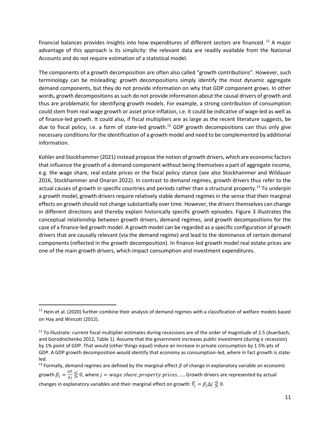financial balances provides insights into how expenditures of different sectors are financed. <sup>11</sup> A major advantage of this approach is its simplicity: the relevant data are readily available from the National Accounts and do not require estimation of a statistical model.

The components of a growth decomposition are often also called "growth contributions". However, such terminology can be misleading: growth decompositions simply identify the most dynamic aggregate demand components, but they do not provide information on why that GDP component grows. In other words, growth decompositions as such do not provide information about the causal drivers of growth and thus are problematic for identifying growth models. For example, a strong contribution of consumption could stem from real wage growth or asset price inflation, i.e. it could be indicative of wage-led as well as of finance-led growth. It could also, if fiscal multipliers are as large as the recent literature suggests, be due to fiscal policy, i.e. a form of state-led growth.<sup>12</sup> GDP growth decompositions can thus only give necessary conditions for the identification of a growth model and need to be complemented by additional information.

Kohler and Stockhammer (2021) instead propose the notion of growth drivers, which are economic factors that influence the growth of a demand-component without being themselves a part of aggregate income, e.g. the wage share, real estate prices or the fiscal policy stance (see also Stockhammer and Wildauer 2016, Stockhammer and Onaran 2022). In contrast to demand regimes, growth drivers thus refer to the actual causes of growth in specific countries and periods rather than a structural property.<sup>13</sup> To underpin a growth model, growth drivers require relatively stable demand regimes in the sense that their marginal effects on growth should not change substantially over time. However, the drivers themselves can change in different directions and thereby explain historically specific growth episodes. Figure 3 illustrates the conceptual relationship between growth drivers, demand regimes, and growth decompositions for the case of a finance-led growth model. A growth model can be regarded as a specific configuration of growth drivers that are causally relevant (via the demand regime) and lead to the dominance of certain demand components (reflected in the growth decomposition). In finance-led growth model real estate prices are one of the main growth drivers, which impact consumption and investment expenditures.

 $11$  Hein et al. (2020) further combine their analysis of demand regimes with a classification of welfare models based on Hay and Wincott (2012).

<sup>&</sup>lt;sup>12</sup> To illustrate: current fiscal multiplier estimates during recessions are of the order of magnitude of 2.5 (Auerbach, and Gorodnichenko 2012, Table 1). Assume that the government increases public investment (during a recession) by 1% point of GDP. That would (other things equal) induce an increase in private consumption by 1.5%-pts of GDP. A GDP growth decomposition would identify that economy as consumption-led, where in fact growth is stateled.

<sup>&</sup>lt;sup>13</sup> Formally, demand regimes are defined by the marginal effect  $\beta$  of change in explanatory variable on economic growth  $\beta_j=\frac{\partial \hat{r}}{\partial j}\lessgtr 0$ , where  $j=wage$   $share, property$   $prices$ , .... Growth drivers are represented by actual changes in explanatory variables and their marginal effect on growth:  $\widehat Y_j = \beta_j \Delta j \lesseqqgtr 0$ .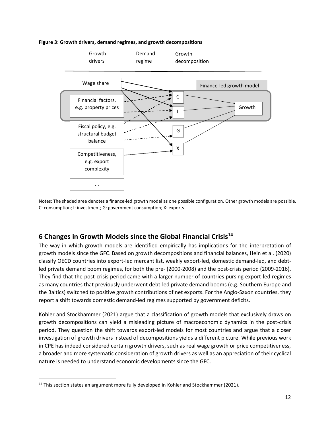#### **Figure 3: Growth drivers, demand regimes, and growth decompositions**



Notes: The shaded area denotes a finance-led growth model as one possible configuration. Other growth models are possible. C: consumption; I: investment; G: government consumption; X: exports.

### **6 Changes in Growth Models since the Global Financial Crisis<sup>14</sup>**

The way in which growth models are identified empirically has implications for the interpretation of growth models since the GFC. Based on growth decompositions and financial balances, Hein et al. (2020) classify OECD countries into export-led mercantilist, weakly export-led, domestic demand-led, and debtled private demand boom regimes, for both the pre- (2000-2008) and the post-crisis period (2009-2016). They find that the post-crisis period came with a larger number of countries pursing export-led regimes as many countries that previously underwent debt-led private demand booms (e.g. Southern Europe and the Baltics) switched to positive growth contributions of net exports. For the Anglo-Saxon countries, they report a shift towards domestic demand-led regimes supported by government deficits.

Kohler and Stockhammer (2021) argue that a classification of growth models that exclusively draws on growth decompositions can yield a misleading picture of macroeconomic dynamics in the post-crisis period. They question the shift towards export-led models for most countries and argue that a closer investigation of growth drivers instead of decompositions yields a different picture. While previous work in CPE has indeed considered certain growth drivers, such as real wage growth or price competitiveness, a broader and more systematic consideration of growth drivers as well as an appreciation of their cyclical nature is needed to understand economic developments since the GFC.

<sup>&</sup>lt;sup>14</sup> This section states an argument more fully developed in Kohler and Stockhammer (2021).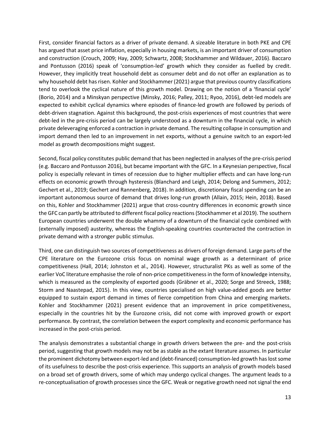First, consider financial factors as a driver of private demand. A sizeable literature in both PKE and CPE has argued that asset price inflation, especially in housing markets, is an important driver of consumption and construction (Crouch, 2009; Hay, 2009; Schwartz, 2008; Stockhammer and Wildauer, 2016). Baccaro and Pontusson (2016) speak of 'consumption-led' growth which they consider as fuelled by credit. However, they implicitly treat household debt as consumer debt and do not offer an explanation as to why household debt has risen. Kohler and Stockhammer (2021) argue that previous country classifications tend to overlook the cyclical nature of this growth model. Drawing on the notion of a 'financial cycle' (Borio, 2014) and a Minskyan perspective (Minsky, 2016; Palley, 2011; Ryoo, 2016), debt-led models are expected to exhibit cyclical dynamics where episodes of finance-led growth are followed by periods of debt-driven stagnation. Against this background, the post-crisis experiences of most countries that were debt-led in the pre-crisis period can be largely understood as a downturn in the financial cycle, in which private deleveraging enforced a contraction in private demand. The resulting collapse in consumption and import demand then led to an improvement in net exports, without a genuine switch to an export-led model as growth decompositions might suggest.

Second, fiscal policy constitutes public demand that has been neglected in analyses of the pre-crisis period (e.g. Baccaro and Pontusson 2016), but became important with the GFC. In a Keynesian perspective, fiscal policy is especially relevant in times of recession due to higher multiplier effects and can have long-run effects on economic growth through hysteresis (Blanchard and Leigh, 2014; Delong and Summers, 2012; Gechert et al., 2019; Gechert and Rannenberg, 2018). In addition, discretionary fiscal spending can be an important autonomous source of demand that drives long-run growth (Allain, 2015; Hein, 2018). Based on this, Kohler and Stockhammer (2021) argue that cross-country differences in economic growth since the GFC can partly be attributed to different fiscal policy reactions(Stockhammer et al 2019). The southern European countries underwent the double whammy of a downturn of the financial cycle combined with (externally imposed) austerity, whereas the English-speaking countries counteracted the contraction in private demand with a stronger public stimulus.

Third, one can distinguish two sources of competitiveness as drivers of foreign demand. Large parts of the CPE literature on the Eurozone crisis focus on nominal wage growth as a determinant of price competitiveness (Hall, 2014; Johnston et al., 2014). However, structuralist PKs as well as some of the earlier VoC literature emphasise the role of non-price competitiveness in the form of knowledge intensity, which is measured as the complexity of exported goods (Gräbner et al., 2020; Sorge and Streeck, 1988; Storm and Naastepad, 2015). In this view, countries specialised on high value-added goods are better equipped to sustain export demand in times of fierce competition from China and emerging markets. Kohler and Stockhammer (2021) present evidence that an improvement in price competitiveness, especially in the countries hit by the Eurozone crisis, did not come with improved growth or export performance. By contrast, the correlation between the export complexity and economic performance has increased in the post-crisis period.

The analysis demonstrates a substantial change in growth drivers between the pre- and the post-crisis period, suggesting that growth models may not be as stable as the extant literature assumes. In particular the prominent dichotomy between export-led and (debt-financed) consumption-led growth has lost some of its usefulness to describe the post-crisis experience. This supports an analysis of growth models based on a broad set of growth drivers, some of which may undergo cyclical changes. The argument leads to a re-conceptualisation of growth processes since the GFC. Weak or negative growth need not signal the end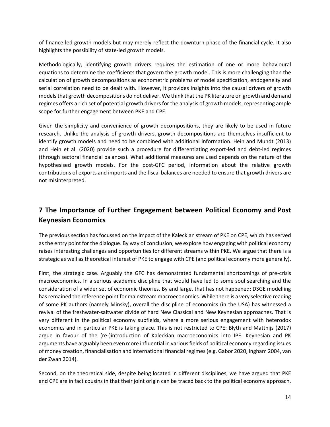of finance-led growth models but may merely reflect the downturn phase of the financial cycle. It also highlights the possibility of state-led growth models.

Methodologically, identifying growth drivers requires the estimation of one or more behavioural equations to determine the coefficients that govern the growth model. This is more challenging than the calculation of growth decompositions as econometric problems of model specification, endogeneity and serial correlation need to be dealt with. However, it provides insights into the causal drivers of growth models that growth decompositions do not deliver. We think that the PK literature on growth and demand regimes offers a rich set of potential growth drivers for the analysis of growth models, representing ample scope for further engagement between PKE and CPE.

Given the simplicity and convenience of growth decompositions, they are likely to be used in future research. Unlike the analysis of growth drivers, growth decompositions are themselves insufficient to identify growth models and need to be combined with additional information. Hein and Mundt (2013) and Hein et al. (2020) provide such a procedure for differentiating export-led and debt-led regimes (through sectoral financial balances). What additional measures are used depends on the nature of the hypothesised growth models. For the post-GFC period, information about the relative growth contributions of exports and imports and the fiscal balances are needed to ensure that growth drivers are not misinterpreted.

### **7 The Importance of Further Engagement between Political Economy and Post Keynesian Economics**

The previous section has focussed on the impact of the Kaleckian stream of PKE on CPE, which has served as the entry point for the dialogue. By way of conclusion, we explore how engaging with political economy raises interesting challenges and opportunities for different streams within PKE. We argue that there is a strategic as well as theoretical interest of PKE to engage with CPE (and political economy more generally).

First, the strategic case. Arguably the GFC has demonstrated fundamental shortcomings of pre-crisis macroeconomics. In a serious academic discipline that would have led to some soul searching and the consideration of a wider set of economic theories. By and large, that has not happened; DSGE modelling has remained the reference point for mainstream macroeconomics. While there is a very selective reading of some PK authors (namely Minsky), overall the discipline of economics (in the USA) has witnessed a revival of the freshwater-saltwater divide of hard New Classical and New Keynesian approaches. That is very different in the political economy subfields, where a more serious engagement with heterodox economics and in particular PKE is taking place. This is not restricted to CPE: Blyth and Matthijs (2017) argue in favour of the (re-)introduction of Kaleckian macroeconomics into IPE. Keynesian and PK arguments have arguably been even more influential in various fields of political economy regarding issues of money creation, financialisation and international financial regimes(e.g. Gabor 2020, Ingham 2004, van der Zwan 2014).

Second, on the theoretical side, despite being located in different disciplines, we have argued that PKE and CPE are in fact cousins in that their joint origin can be traced back to the political economy approach.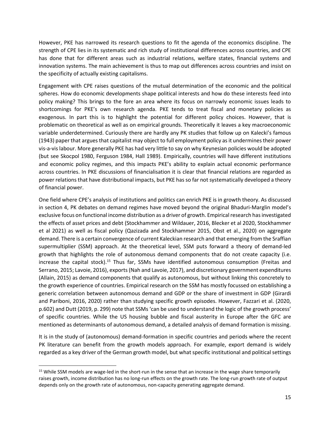However, PKE has narrowed its research questions to fit the agenda of the economics discipline. The strength of CPE lies in its systematic and rich study of institutional differences across countries, and CPE has done that for different areas such as industrial relations, welfare states, financial systems and innovation systems. The main achievement is thus to map out differences across countries and insist on the specificity of actually existing capitalisms.

Engagement with CPE raises questions of the mutual determination of the economic and the political spheres. How do economic developments shape political interests and how do these interests feed into policy making? This brings to the fore an area where its focus on narrowly economic issues leads to shortcomings for PKE's own research agenda. PKE tends to treat fiscal and monetary policies as exogenous. In part this is to highlight the potential for different policy choices. However, that is problematic on theoretical as well as on empirical grounds. Theoretically it leaves a key macroeconomic variable underdetermined. Curiously there are hardly any PK studies that follow up on Kalecki's famous (1943) paper that argues that capitalist may object to full employment policy as it undermines their power vis-a-vis labour. More generally PKE has had very little to say on why Keynesian policies would be adopted (but see Skocpol 1980, Ferguson 1984, Hall 1989). Empirically, countries will have different institutions and economic policy regimes, and this impacts PKE's ability to explain actual economic performance across countries. In PKE discussions of financialisation it is clear that financial relations are regarded as power relations that have distributional impacts, but PKE has so far not systematically developed a theory of financial power.

One field where CPE's analysis of institutions and politics can enrich PKE is in growth theory. As discussed in section 4, PK debates on demand regimes have moved beyond the original Bhaduri-Marglin model's exclusive focus on functional income distribution as a driver of growth. Empirical research has investigated the effects of asset prices and debt (Stockhammer and Wildauer, 2016, Blecker et al 2020, Stockhammer et al 2021) as well as fiscal policy (Qazizada and Stockhammer 2015, Obst et al., 2020) on aggregate demand. There is a certain convergence of current Kaleckian research and that emerging from the Sraffian supermultiplier (SSM) approach. At the theoretical level, SSM puts forward a theory of demand-led growth that highlights the role of autonomous demand components that do not create capacity (i.e. increase the capital stock).<sup>15</sup> Thus far, SSMs have identified autonomous consumption (Freitas and Serrano, 2015; Lavoie, 2016), exports (Nah and Lavoie, 2017), and discretionary government expenditures (Allain, 2015) as demand components that qualify as autonomous, but without linking this concretely to the growth experience of countries. Empirical research on the SSM has mostly focussed on establishing a generic correlation between autonomous demand and GDP or the share of investment in GDP (Girardi and Pariboni, 2016, 2020) rather than studying specific growth episodes. However, Fazzari et al. (2020, p.602) and Dutt (2019, p. 299) note that SSMs 'can be used to understand the logic of the growth process' of specific countries. While the US housing bubble and fiscal austerity in Europe after the GFC are mentioned as determinants of autonomous demand, a detailed analysis of demand formation is missing.

It is in the study of (autonomous) demand-formation in specific countries and periods where the recent PK literature can benefit from the growth models approach. For example, export demand is widely regarded as a key driver of the German growth model, but what specific institutional and political settings

<sup>&</sup>lt;sup>15</sup> While SSM models are wage-led in the short-run in the sense that an increase in the wage share temporarily raises growth, income distribution has no long-run effects on the growth rate. The long-run growth rate of output depends only on the growth rate of autonomous, non-capacity generating aggregate demand.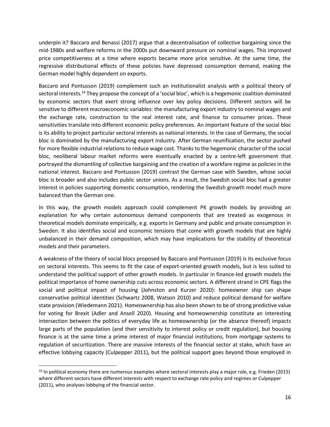underpin it? Baccaro and Benassi (2017) argue that a decentralisation of collective bargaining since the mid-1980s and welfare reforms in the 2000s put downward pressure on nominal wages. This improved price competitiveness at a time where exports became more price sensitive. At the same time, the regressive distributional effects of these policies have depressed consumption demand, making the German model highly dependent on exports.

Baccaro and Pontusson (2019) complement such an institutionalist analysis with a political theory of sectoral interests.<sup>16</sup> They propose the concept of a 'social bloc', which is a hegemonic coalition dominated by economic sectors that exert strong influence over key policy decisions. Different sectors will be sensitive to different macroeconomic variables: the manufacturing export industry to nominal wages and the exchange rate, construction to the real interest rate, and finance to consumer prices. These sensitivities translate into different economic policy preferences. An important feature of the social bloc is its ability to project particular sectoral interests as national interests. In the case of Germany, the social bloc is dominated by the manufacturing export industry. After German reunification, the sector pushed for more flexible industrial relations to reduce wage cost. Thanks to the hegemonic character of the social bloc, neoliberal labour market reforms were eventually enacted by a centre-left government that portrayed the dismantling of collective bargaining and the creation of a workfare regime as policies in the national interest. Baccaro and Pontusson (2019) contrast the German case with Sweden, whose social bloc is broader and also includes public sector unions. As a result, the Swedish social bloc had a greater interest in policies supporting domestic consumption, rendering the Swedish growth model much more balanced than the German one.

In this way, the growth models approach could complement PK growth models by providing an explanation for why certain autonomous demand components that are treated as exogenous in theoretical models dominate empirically, e.g. exports in Germany and public and private consumption in Sweden. It also identifies social and economic tensions that come with growth models that are highly unbalanced in their demand composition, which may have implications for the stability of theoretical models and their parameters.

A weakness of the theory of social blocs proposed by Baccaro and Pontusson (2019) is its exclusive focus on sectoral interests. This seems to fit the case of export-oriented growth models, but is less suited to understand the political support of other growth models. In particular in finance-led growth models the political importance of home ownership cuts across economic sectors. A different strand in CPE flags the social and political impact of housing (Johnston and Kurzer 2020): homeowner ship can shape conservative political identities (Schwartz 2008, Watson 2010) and reduce political demand for welfare state provision (Wiedemann 2021). Homeownership has also been shown to be of strong predictive value for voting for Brexit (Adler and Ansell 2020). Housing and homeownership constitute an interesting intersection between the politics of everyday life as homeownership (or the absence thereof) impacts large parts of the population (and their sensitivity to interest policy or credit regulation), but housing finance is at the same time a prime interest of major financial institutions, from mortgage systems to regulation of securitization. There are massive interests of the financial sector at stake, which have an effective lobbying capacity (Culpepper 2011), but the political support goes beyond those employed in

 $16$  In political economy there are numerous examples where sectoral interests play a major role, e.g. Frieden (2015) where different sectors have different interests with respect to exchange rate policy and regimes or Culpepper (2011), who analyses lobbying of the financial sector.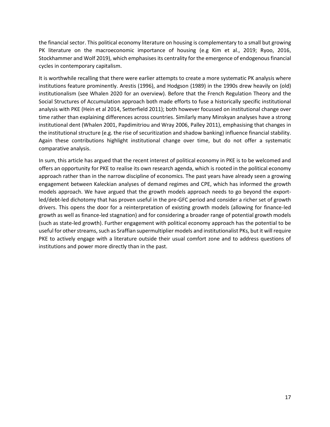the financial sector. This political economy literature on housing is complementary to a small but growing PK literature on the macroeconomic importance of housing (e.g Kim et al., 2019; Ryoo, 2016, Stockhammer and Wolf 2019), which emphasises its centrality for the emergence of endogenous financial cycles in contemporary capitalism.

It is worthwhile recalling that there were earlier attempts to create a more systematic PK analysis where institutions feature prominently. Arestis (1996), and Hodgson (1989) in the 1990s drew heavily on (old) institutionalism (see Whalen 2020 for an overview). Before that the French Regulation Theory and the Social Structures of Accumulation approach both made efforts to fuse a historically specific institutional analysis with PKE (Hein et al 2014, Setterfield 2011); both however focussed on institutional change over time rather than explaining differences across countries. Similarly many Minskyan analyses have a strong institutional dent (Whalen 2001, Papdimitriou and Wray 2006, Palley 2011), emphasising that changes in the institutional structure (e.g. the rise of securitization and shadow banking) influence financial stability. Again these contributions highlight institutional change over time, but do not offer a systematic comparative analysis.

In sum, this article has argued that the recent interest of political economy in PKE is to be welcomed and offers an opportunity for PKE to realise its own research agenda, which is rooted in the political economy approach rather than in the narrow discipline of economics. The past years have already seen a growing engagement between Kaleckian analyses of demand regimes and CPE, which has informed the growth models approach. We have argued that the growth models approach needs to go beyond the exportled/debt-led dichotomy that has proven useful in the pre-GFC period and consider a richer set of growth drivers. This opens the door for a reinterpretation of existing growth models (allowing for finance-led growth as well as finance-led stagnation) and for considering a broader range of potential growth models (such as state-led growth). Further engagement with political economy approach has the potential to be useful for other streams, such as Sraffian supermultiplier models and institutionalist PKs, but it will require PKE to actively engage with a literature outside their usual comfort zone and to address questions of institutions and power more directly than in the past.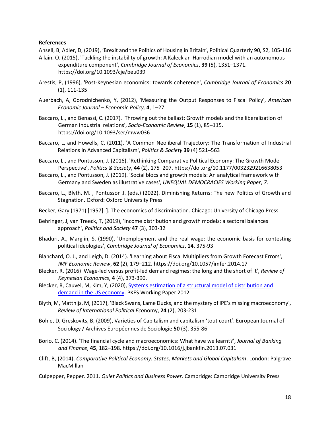#### **References**

Ansell, B, Adler, D, (2019), 'Brexit and the Politics of Housing in Britain', Political Quarterly 90, S2, 105-116

- Allain, O. (2015), 'Tackling the instability of growth: A Kaleckian-Harrodian model with an autonomous expenditure component', *Cambridge Journal of Economics*, **39** (5), 1351–1371. https://doi.org/10.1093/cje/beu039
- Arestis, P, (1996), 'Post-Keynesian economics: towards coherence', *Cambridge Journal of Economics* **20** (1), 111-135
- Auerbach, A, Gorodnichenko, Y, (2012), 'Measuring the Output Responses to Fiscal Policy', *American Economic Journal – Economic Policy,* **4**, 1–27.
- Baccaro, L., and Benassi, C. (2017). 'Throwing out the ballast: Growth models and the liberalization of German industrial relations', *Socio-Economic Review*, **15** (1), 85–115. https://doi.org/10.1093/ser/mww036
- Baccaro, L, and Howells, C, (2011), 'A Common Neoliberal Trajectory: The Transformation of Industrial Relations in Advanced Capitalism', *Politics & Society* **39** (4) 521–563
- Baccaro, L., and Pontusson, J. (2016). 'Rethinking Comparative Political Economy: The Growth Model Perspective', *Politics & Society*, **44** (2), 175–207. https://doi.org/10.1177/0032329216638053
- Baccaro, L., and Pontusson, J. (2019). 'Social blocs and growth models: An analytical framework with Germany and Sweden as illustrative cases', *UNEQUAL DEMOCRACIES Working Paper*, *7*.
- Baccaro, L., Blyth, M. , Pontusson J. (eds.) (2022). Diminishing Returns: The new Politics of Growth and Stagnation. Oxford: Oxford University Press
- Becker, Gary (1971) [1957]. ]. The economics of discrimination. Chicago: University of Chicago Press
- Behringer, J, van Treeck, T, (2019), 'Income distribution and growth models: a sectoral balances approach', *Politics and Society* **47** (3), 303-32
- Bhaduri, A., Marglin, S. (1990), 'Unemployment and the real wage: the economic basis for contesting political ideologies', *Cambridge Journal of Economics*, **14**, 375-93
- Blanchard, O. J., and Leigh, D. (2014). 'Learning about Fiscal Multipliers from Growth Forecast Errors', *IMF Economic Review*, **62** (2), 179–212. https://doi.org/10.1057/imfer.2014.17
- Blecker, R. (2016) 'Wage-led versus profit-led demand regimes: the long and the short of it', *Review of Keynesian Economics*, **4** (4), 373-390.
- Blecker, R, Cauvel, M, Kim, Y, (2020), [Systems estimation of a structural model of distribution and](https://www.postkeynesian.net/working-papers/2012/)  [demand in the US economy.](https://www.postkeynesian.net/working-papers/2012/) PKES Working Paper 2012
- Blyth, M, Matthijs, M, (2017), 'Black Swans, Lame Ducks, and the mystery of IPE's missing macroeconomy', *Review of International Political Eco*nomy, **24** (2), 203-231
- Bohle, D, Greskovits, B, (2009), Varieties of Capitalism and capitalism 'tout court'. [European Journal of](https://www.cambridge.org/core/journals/european-journal-of-sociology-archives-europeennes-de-sociologie)  [Sociology / Archives Européennes de Sociologie](https://www.cambridge.org/core/journals/european-journal-of-sociology-archives-europeennes-de-sociologie) **50** (3), 355-86
- Borio, C. (2014). 'The financial cycle and macroeconomics: What have we learnt?', *Journal of Banking and Finance*, **45**, 182–198. https://doi.org/10.1016/j.jbankfin.2013.07.031
- Clift, B, (2014), *Comparative Political Economy. States, Markets and Global Capitalism*. London: Palgrave **MacMillan**
- Culpepper, Pepper. 2011. *Quiet Politics and Business Power.* Cambridge: Cambridge University Press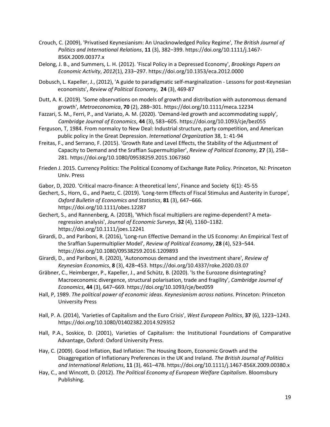- Crouch, C. (2009), 'Privatised Keynesianism: An Unacknowledged Policy Regime', *The British Journal of Politics and International Relations*, **11** (3), 382–399. https://doi.org/10.1111/j.1467- 856X.2009.00377.x
- Delong, J. B., and Summers, L. H. (2012). 'Fiscal Policy in a Depressed Economy', *Brookings Papers on Economic Activity*, *2012*(1), 233–297. https://doi.org/10.1353/eca.2012.0000
- Dobusch, L. Kapeller, J., (2012), 'A guide to paradigmatic self-marginalization Lessons for post-Keynesian economists', *Review of Political Economy*, **24** (3), 469-87
- Dutt, A. K. (2019). 'Some observations on models of growth and distribution with autonomous demand growth', *Metroeconomica*, **70** (2), 288–301. https://doi.org/10.1111/meca.12234
- Fazzari, S. M., Ferri, P., and Variato, A. M. (2020). 'Demand-led growth and accommodating supply', *Cambridge Journal of Economics*, **44** (3), 583–605. https://doi.org/10.1093/cje/bez055
- Ferguson, T, 1984. From normalcy to New Deal: Industrial structure, party competition, and American public policy in the Great Depression. *International Organization* 38, 1: 41-94
- Freitas, F., and Serrano, F. (2015). 'Growth Rate and Level Effects, the Stability of the Adjustment of Capacity to Demand and the Sraffian Supermultiplier', *Review of Political Economy*, **27** (3), 258– 281. https://doi.org/10.1080/09538259.2015.1067360
- Frieden J. 2015. Currency Politics: The Political Economy of Exchange Rate Policy. Princeton, NJ: Princeton Univ. Press
- Gabor, D, 2020. 'Critical macro-finance: A theoretical lens', Finance and Society 6(1): 45-55
- Gechert, S., Horn, G., and Paetz, C. (2019). 'Long‐term Effects of Fiscal Stimulus and Austerity in Europe', *Oxford Bulletin of Economics and Statistics*, **81** (3), 647–666. https://doi.org/10.1111/obes.12287
- Gechert, S., and Rannenberg, A. (2018), 'Which fiscal multipliers are regime-dependent? A metaregression analysis', *Journal of Economic Surveys*, **32** (4), 1160–1182. https://doi.org/10.1111/joes.12241
- Girardi, D., and Pariboni, R. (2016), 'Long-run Effective Demand in the US Economy: An Empirical Test of the Sraffian Supermultiplier Model', *Review of Political Economy*, **28** (4), 523–544. https://doi.org/10.1080/09538259.2016.1209893
- Girardi, D., and Pariboni, R. (2020), 'Autonomous demand and the investment share', *Review of Keynesian Economics*, **8** (3), 428–453. https://doi.org/10.4337/roke.2020.03.07
- Gräbner, C., Heimberger, P., Kapeller, J., and Schütz, B. (2020). 'Is the Eurozone disintegrating? Macroeconomic divergence, structural polarisation, trade and fragility', *Cambridge Journal of Economics*, **44** (3), 647–669. https://doi.org/10.1093/cje/bez059
- Hall, P, 1989. *The political power of economic ideas. Keynesianism across nations*. Princeton: Princeton University Press
- Hall, P. A. (2014), 'Varieties of Capitalism and the Euro Crisis', *West European Politics*, **37** (6), 1223–1243. https://doi.org/10.1080/01402382.2014.929352
- Hall, P.A., Soskice, D. (2001), Varieties of Capitalism: the Institutional Foundations of Comparative Advantage, Oxford: Oxford University Press.
- Hay, C. (2009). Good Inflation, Bad Inflation: The Housing Boom, Economic Growth and the Disaggregation of Inflationary Preferences in the UK and Ireland. *The British Journal of Politics and International Relations*, **11** (3), 461–478. https://doi.org/10.1111/j.1467-856X.2009.00380.x
- Hay, C., and Wincott, D. (2012). *The Political Economy of European Welfare Capitalism*. Bloomsbury Publishing.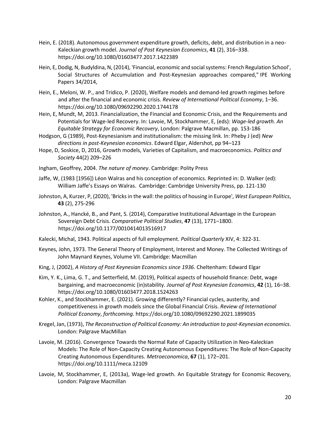- Hein, E. (2018). Autonomous government expenditure growth, deficits, debt, and distribution in a neo-Kaleckian growth model. *Journal of Post Keynesian Economics*, **41** (2), 316–338. https://doi.org/10.1080/01603477.2017.1422389
- Hein, E, Dodig, N, Budyldina, N, (2014), ['Financial, economic and social systems: French Regulation School](https://ideas.repec.org/p/zbw/ipewps/342014.html)', [Social Structures of Accumulation and Post-Keynesian approaches compared,](https://ideas.repec.org/p/zbw/ipewps/342014.html)" [IPE Working](https://ideas.repec.org/s/zbw/ipewps.html)  [Papers](https://ideas.repec.org/s/zbw/ipewps.html) 34/2014,
- Hein, E., Meloni, W. P., and Tridico, P. (2020), Welfare models and demand-led growth regimes before and after the financial and economic crisis. *Review of International Political Economy*, 1–36. https://doi.org/10.1080/09692290.2020.1744178
- Hein, E, Mundt, M, 2013. Financialization, the Financial and Economic Crisis, and the Requirements and Potentials for Wage-led Recovery. In: Lavoie, M, Stockhammer, E, (eds): *Wage-led growth. An Equitable Strategy for Economic Recovery*, London: Palgrave Macmillan, pp. 153-186
- Hodgson, G (1989), Post-Keynesianism and institutionalism: the missing link. In: Pheby J (ed) *New directions in post-Keynesian economics*. Edward Elgar, Aldershot, pp 94–123
- Hope, D, Soskice, D, 2016, Growth models, Varieties of Capitalism, and macroeconomics. *Politics and Society* 44(2) 209–226
- Ingham, Geoffrey, 2004. *The nature of money*. Cambridge: Polity Press
- Jaffe, W, (1983 [1956]) Léon Walras and his conception of economics. Reprinted in: D. Walker (ed): William Jaffe's Essays on Walras. Cambridge: Cambridge University Press, pp. 121-130
- Johnston, A, Kurzer, P, (2020), 'Bricks in the wall: the politics of housing in Europe', *West European Politics*, **43** (2), 275-296
- Johnston, A., Hancké, B., and Pant, S. (2014), Comparative Institutional Advantage in the European Sovereign Debt Crisis. *Comparative Political Studies*, **47** (13), 1771–1800. https://doi.org/10.1177/0010414013516917
- Kalecki, Michal, 1943. Political aspects of full employment. *Political Quarterly* XIV, 4: 322-31.
- Keynes, John, 1973. The General Theory of Employment, Interest and Money. The Collected Writings of John Maynard Keynes, Volume VII. Cambridge: Macmillan
- King, J, (2002), *A History of Post Keynesian Economics since 1936*. Cheltenham: Edward Elgar
- Kim, Y. K., Lima, G. T., and Setterfield, M. (2019), Political aspects of household finance: Debt, wage bargaining, and macroeconomic (in)stability. *Journal of Post Keynesian Economics*, **42** (1), 16–38. https://doi.org/10.1080/01603477.2018.1524263
- Kohler, K., and Stockhammer, E. (2021). Growing differently? Financial cycles, austerity, and competitiveness in growth models since the Global Financial Crisis. *Review of International Political Economy*, *forthcoming*. https://doi.org/10.1080/09692290.2021.1899035
- Kregel, Jan, (1973), *The Reconstruction of Political Economy: An introduction to post-Keynesian economics*. London: Palgrave MacMillan
- Lavoie, M. (2016). Convergence Towards the Normal Rate of Capacity Utilization in Neo-Kaleckian Models: The Role of Non-Capacity Creating Autonomous Expenditures: The Role of Non-Capacity Creating Autonomous Expenditures. *Metroeconomica*, **67** (1), 172–201. https://doi.org/10.1111/meca.12109
- Lavoie, M, Stockhammer, E, (2013a), Wage-led growth. An Equitable Strategy for Economic Recovery, London: Palgrave Macmillan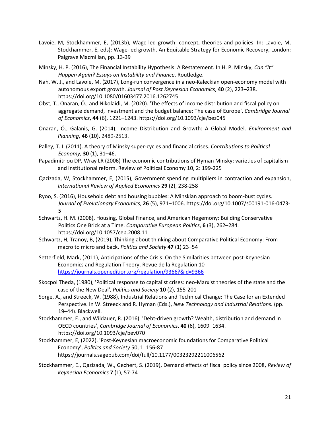- Lavoie, M, Stockhammer, E, (2013b), Wage-led growth: concept, theories and policies. In: Lavoie, M, Stockhammer, E, eds): Wage-led growth. An Equitable Strategy for Economic Recovery, London: Palgrave Macmillan, pp. 13-39
- Minsky, H. P. (2016), The Financial Instability Hypothesis: A Restatement. In H. P. Minsky, *Can "It" Happen Again? Essays on Instability and Finance*. Routledge.
- Nah, W. J., and Lavoie, M. (2017), Long-run convergence in a neo-Kaleckian open-economy model with autonomous export growth. *Journal of Post Keynesian Economics*, **40** (2), 223–238. https://doi.org/10.1080/01603477.2016.1262745
- Obst, T., Onaran, Ö., and Nikolaidi, M. (2020). 'The effects of income distribution and fiscal policy on aggregate demand, investment and the budget balance: The case of Europe', *Cambridge Journal of Economics*, **44** (6), 1221–1243. https://doi.org/10.1093/cje/bez045
- Onaran, Ö., Galanis, G. (2014), Income Distribution and Growth: A Global Model. *Environment and Planning*, **46** (10), 2489-2513.
- Palley, T. I. (2011). A theory of Minsky super-cycles and financial crises. *Contributions to Political Economy*, **30** (1), 31–46.
- Papadimitriou DP, Wray LR (2006) The economic contributions of Hyman Minsky: varieties of capitalism and institutional reform. Review of Political Economy 10, 2: 199-225
- Qazizada, W, Stockhammer, E, (2015), [Government spending multipliers in contraction and expansion,](http://ideas.repec.org/p/pke/wpaper/pkwp1404.html) *International Review of Applied Economics* **29** (2), 238-258
- Ryoo, S. (2016), Household debt and housing bubbles: A Minskian approach to boom-bust cycles. *Journal of Evolutionary Economics*, **26** (5), 971–1006. https://doi.org/10.1007/s00191-016-0473- 5
- Schwartz, H. M. (2008), Housing, Global Finance, and American Hegemony: Building Conservative Politics One Brick at a Time. *Comparative European Politics*, **6** (3), 262–284. https://doi.org/10.1057/cep.2008.11
- Schwartz, H, Tranoy, B, (2019), Thinking about thinking about Comparative Political Economy: From macro to micro and back. *Politics and Society* **47** (1) 23–54
- Setterfield, Mark, (2011), Anticipations of the Crisis: On the Similarities between post-Keynesian Economics and Regulation Theory. Revue de la Regulation 10 <https://journals.openedition.org/regulation/9366?&id=9366>
- Skocpol Theda, (1980), 'Political response to capitalist crises: neo-Marxist theories of the state and the case of the New Deal', *Politics and Society* **10** (2), 155-201
- Sorge, A., and Streeck, W. (1988), Industrial Relations and Technical Change: The Case for an Extended Perspective. In W. Streeck and R. Hyman (Eds.), *New Technology and Industrial Relations.* (pp. 19–44). Blackwell.
- Stockhammer, E., and Wildauer, R. (2016). 'Debt-driven growth? Wealth, distribution and demand in OECD countries', *Cambridge Journal of Economics*, **40** (6), 1609–1634. https://doi.org/10.1093/cje/bev070
- Stockhammer, E, (2022). 'Post-Keynesian macroeconomic foundations for Comparative Political Economy', *Politics and Society* 50, 1: 156-87 https://journals.sagepub.com/doi/full/10.1177/00323292211006562
- Stockhammer, E., Qazizada, W., Gechert, S. (2019), Demand effects of fiscal policy since 2008, *Review of Keynesian Economics* **7** (1), 57-74